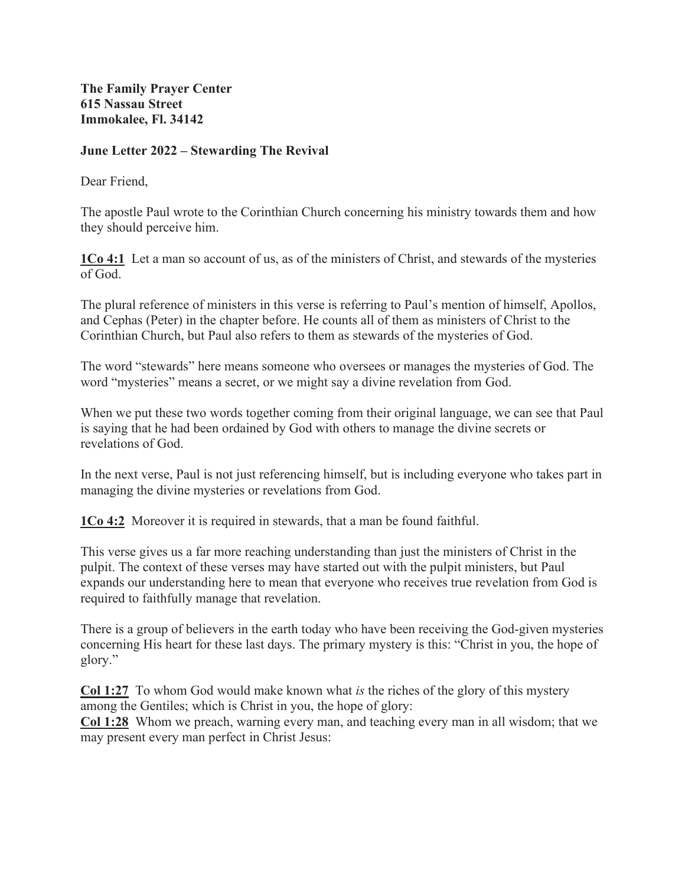**The Family Prayer Center 615 Nassau Street Immokalee, Fl. 34142** 

## **June Letter 2022 – Stewarding The Revival**

Dear Friend,

The apostle Paul wrote to the Corinthian Church concerning his ministry towards them and how they should perceive him.

**1Co 4:1** Let a man so account of us, as of the ministers of Christ, and stewards of the mysteries of God.

The plural reference of ministers in this verse is referring to Paul's mention of himself, Apollos, and Cephas (Peter) in the chapter before. He counts all of them as ministers of Christ to the Corinthian Church, but Paul also refers to them as stewards of the mysteries of God.

The word "stewards" here means someone who oversees or manages the mysteries of God. The word "mysteries" means a secret, or we might say a divine revelation from God.

When we put these two words together coming from their original language, we can see that Paul is saying that he had been ordained by God with others to manage the divine secrets or revelations of God.

In the next verse, Paul is not just referencing himself, but is including everyone who takes part in managing the divine mysteries or revelations from God.

**1Co 4:2** Moreover it is required in stewards, that a man be found faithful.

This verse gives us a far more reaching understanding than just the ministers of Christ in the pulpit. The context of these verses may have started out with the pulpit ministers, but Paul expands our understanding here to mean that everyone who receives true revelation from God is required to faithfully manage that revelation.

There is a group of believers in the earth today who have been receiving the God-given mysteries concerning His heart for these last days. The primary mystery is this: "Christ in you, the hope of glory."

**Col 1:27** To whom God would make known what *is* the riches of the glory of this mystery among the Gentiles; which is Christ in you, the hope of glory:

**Col 1:28** Whom we preach, warning every man, and teaching every man in all wisdom; that we may present every man perfect in Christ Jesus: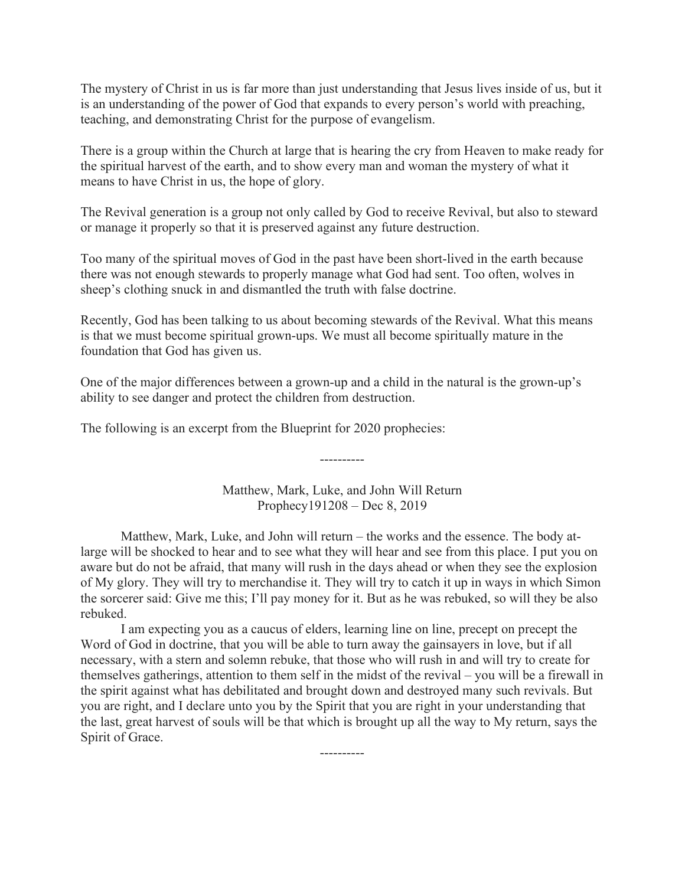The mystery of Christ in us is far more than just understanding that Jesus lives inside of us, but it is an understanding of the power of God that expands to every person's world with preaching, teaching, and demonstrating Christ for the purpose of evangelism.

There is a group within the Church at large that is hearing the cry from Heaven to make ready for the spiritual harvest of the earth, and to show every man and woman the mystery of what it means to have Christ in us, the hope of glory.

The Revival generation is a group not only called by God to receive Revival, but also to steward or manage it properly so that it is preserved against any future destruction.

Too many of the spiritual moves of God in the past have been short-lived in the earth because there was not enough stewards to properly manage what God had sent. Too often, wolves in sheep's clothing snuck in and dismantled the truth with false doctrine.

Recently, God has been talking to us about becoming stewards of the Revival. What this means is that we must become spiritual grown-ups. We must all become spiritually mature in the foundation that God has given us.

One of the major differences between a grown-up and a child in the natural is the grown-up's ability to see danger and protect the children from destruction.

The following is an excerpt from the Blueprint for 2020 prophecies:

Matthew, Mark, Luke, and John Will Return Prophecy191208 – Dec 8, 2019

----------

Matthew, Mark, Luke, and John will return – the works and the essence. The body atlarge will be shocked to hear and to see what they will hear and see from this place. I put you on aware but do not be afraid, that many will rush in the days ahead or when they see the explosion of My glory. They will try to merchandise it. They will try to catch it up in ways in which Simon the sorcerer said: Give me this; I'll pay money for it. But as he was rebuked, so will they be also rebuked.

I am expecting you as a caucus of elders, learning line on line, precept on precept the Word of God in doctrine, that you will be able to turn away the gainsayers in love, but if all necessary, with a stern and solemn rebuke, that those who will rush in and will try to create for themselves gatherings, attention to them self in the midst of the revival – you will be a firewall in the spirit against what has debilitated and brought down and destroyed many such revivals. But you are right, and I declare unto you by the Spirit that you are right in your understanding that the last, great harvest of souls will be that which is brought up all the way to My return, says the Spirit of Grace.

----------